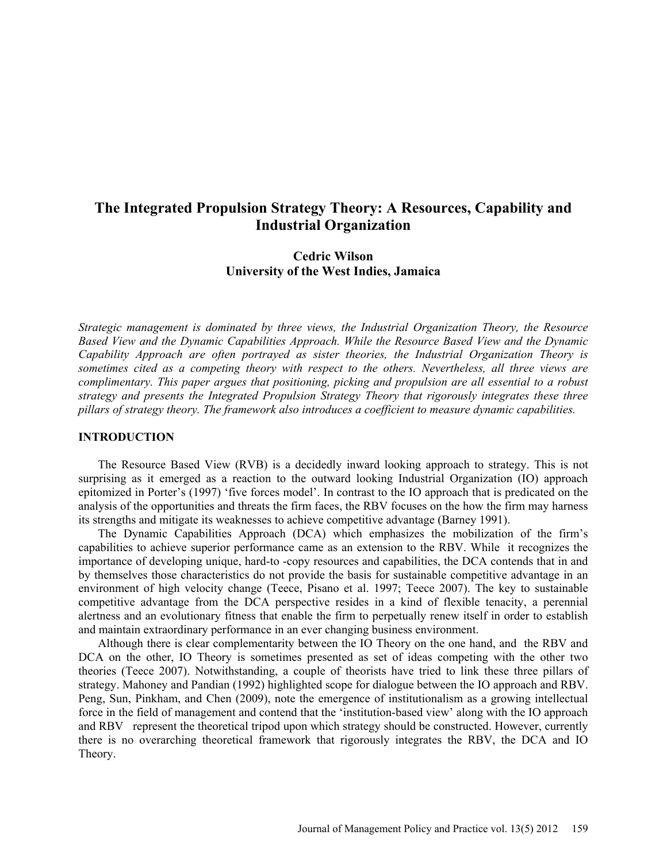# **The Integrated Propulsion Strategy Theory: A Resources, Capability and Industrial Organization**

# **Cedric Wilson University of the West Indies, Jamaica**

*Strategic management is dominated by three views, the Industrial Organization Theory, the Resource Based View and the Dynamic Capabilities Approach. While the Resource Based View and the Dynamic Capability Approach are often portrayed as sister theories, the Industrial Organization Theory is sometimes cited as a competing theory with respect to the others. Nevertheless, all three views are complimentary. This paper argues that positioning, picking and propulsion are all essential to a robust strategy and presents the Integrated Propulsion Strategy Theory that rigorously integrates these three pillars of strategy theory. The framework also introduces a coefficient to measure dynamic capabilities.* 

# **INTRODUCTION**

The Resource Based View (RVB) is a decidedly inward looking approach to strategy. This is not surprising as it emerged as a reaction to the outward looking Industrial Organization (IO) approach epitomized in Porter's (1997) 'five forces model'. In contrast to the IO approach that is predicated on the analysis of the opportunities and threats the firm faces, the RBV focuses on the how the firm may harness its strengths and mitigate its weaknesses to achieve competitive advantage (Barney 1991).

The Dynamic Capabilities Approach (DCA) which emphasizes the mobilization of the firm's capabilities to achieve superior performance came as an extension to the RBV. While it recognizes the importance of developing unique, hard-to -copy resources and capabilities, the DCA contends that in and by themselves those characteristics do not provide the basis for sustainable competitive advantage in an environment of high velocity change (Teece, Pisano et al. 1997; Teece 2007). The key to sustainable competitive advantage from the DCA perspective resides in a kind of flexible tenacity, a perennial alertness and an evolutionary fitness that enable the firm to perpetually renew itself in order to establish and maintain extraordinary performance in an ever changing business environment.

Although there is clear complementarity between the IO Theory on the one hand, and the RBV and DCA on the other, IO Theory is sometimes presented as set of ideas competing with the other two theories (Teece 2007). Notwithstanding, a couple of theorists have tried to link these three pillars of strategy. Mahoney and Pandian (1992) highlighted scope for dialogue between the IO approach and RBV. Peng, Sun, Pinkham, and Chen (2009), note the emergence of institutionalism as a growing intellectual force in the field of management and contend that the 'institution-based view' along with the IO approach and RBV represent the theoretical tripod upon which strategy should be constructed. However, currently there is no overarching theoretical framework that rigorously integrates the RBV, the DCA and IO Theory.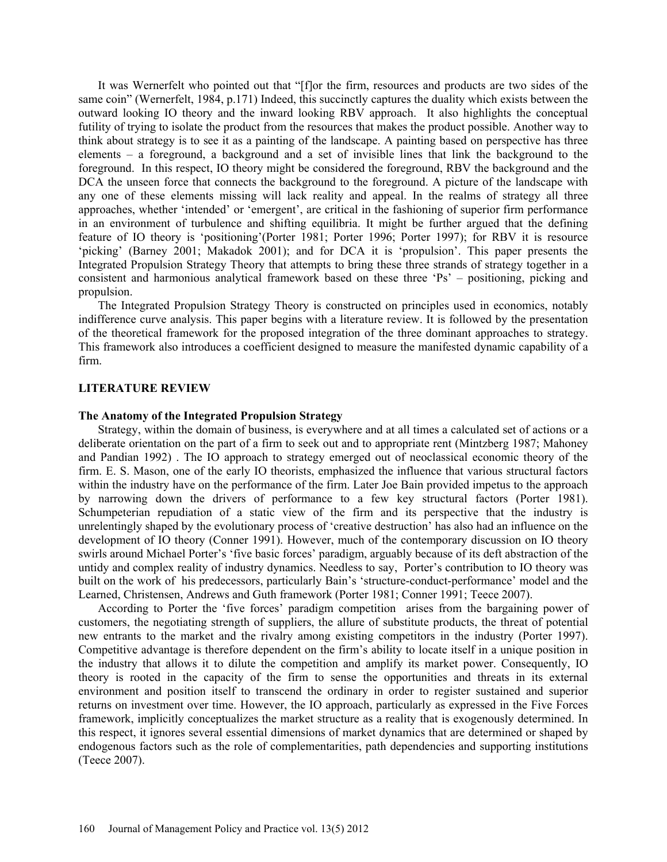It was Wernerfelt who pointed out that "[f]or the firm, resources and products are two sides of the same coin" (Wernerfelt, 1984, p.171) Indeed, this succinctly captures the duality which exists between the outward looking IO theory and the inward looking RBV approach. It also highlights the conceptual futility of trying to isolate the product from the resources that makes the product possible. Another way to think about strategy is to see it as a painting of the landscape. A painting based on perspective has three elements – a foreground, a background and a set of invisible lines that link the background to the foreground. In this respect, IO theory might be considered the foreground, RBV the background and the DCA the unseen force that connects the background to the foreground. A picture of the landscape with any one of these elements missing will lack reality and appeal. In the realms of strategy all three approaches, whether 'intended' or 'emergent', are critical in the fashioning of superior firm performance in an environment of turbulence and shifting equilibria. It might be further argued that the defining feature of IO theory is 'positioning'(Porter 1981; Porter 1996; Porter 1997); for RBV it is resource 'picking' (Barney 2001; Makadok 2001); and for DCA it is 'propulsion'. This paper presents the Integrated Propulsion Strategy Theory that attempts to bring these three strands of strategy together in a consistent and harmonious analytical framework based on these three 'Ps' – positioning, picking and propulsion.

The Integrated Propulsion Strategy Theory is constructed on principles used in economics, notably indifference curve analysis. This paper begins with a literature review. It is followed by the presentation of the theoretical framework for the proposed integration of the three dominant approaches to strategy. This framework also introduces a coefficient designed to measure the manifested dynamic capability of a firm.

# **LITERATURE REVIEW**

## **The Anatomy of the Integrated Propulsion Strategy**

Strategy, within the domain of business, is everywhere and at all times a calculated set of actions or a deliberate orientation on the part of a firm to seek out and to appropriate rent (Mintzberg 1987; Mahoney and Pandian 1992) . The IO approach to strategy emerged out of neoclassical economic theory of the firm. E. S. Mason, one of the early IO theorists, emphasized the influence that various structural factors within the industry have on the performance of the firm. Later Joe Bain provided impetus to the approach by narrowing down the drivers of performance to a few key structural factors (Porter 1981). Schumpeterian repudiation of a static view of the firm and its perspective that the industry is unrelentingly shaped by the evolutionary process of 'creative destruction' has also had an influence on the development of IO theory (Conner 1991). However, much of the contemporary discussion on IO theory swirls around Michael Porter's 'five basic forces' paradigm, arguably because of its deft abstraction of the untidy and complex reality of industry dynamics. Needless to say, Porter's contribution to IO theory was built on the work of his predecessors, particularly Bain's 'structure-conduct-performance' model and the Learned, Christensen, Andrews and Guth framework (Porter 1981; Conner 1991; Teece 2007).

According to Porter the 'five forces' paradigm competition arises from the bargaining power of customers, the negotiating strength of suppliers, the allure of substitute products, the threat of potential new entrants to the market and the rivalry among existing competitors in the industry (Porter 1997). Competitive advantage is therefore dependent on the firm's ability to locate itself in a unique position in the industry that allows it to dilute the competition and amplify its market power. Consequently, IO theory is rooted in the capacity of the firm to sense the opportunities and threats in its external environment and position itself to transcend the ordinary in order to register sustained and superior returns on investment over time. However, the IO approach, particularly as expressed in the Five Forces framework, implicitly conceptualizes the market structure as a reality that is exogenously determined. In this respect, it ignores several essential dimensions of market dynamics that are determined or shaped by endogenous factors such as the role of complementarities, path dependencies and supporting institutions (Teece 2007).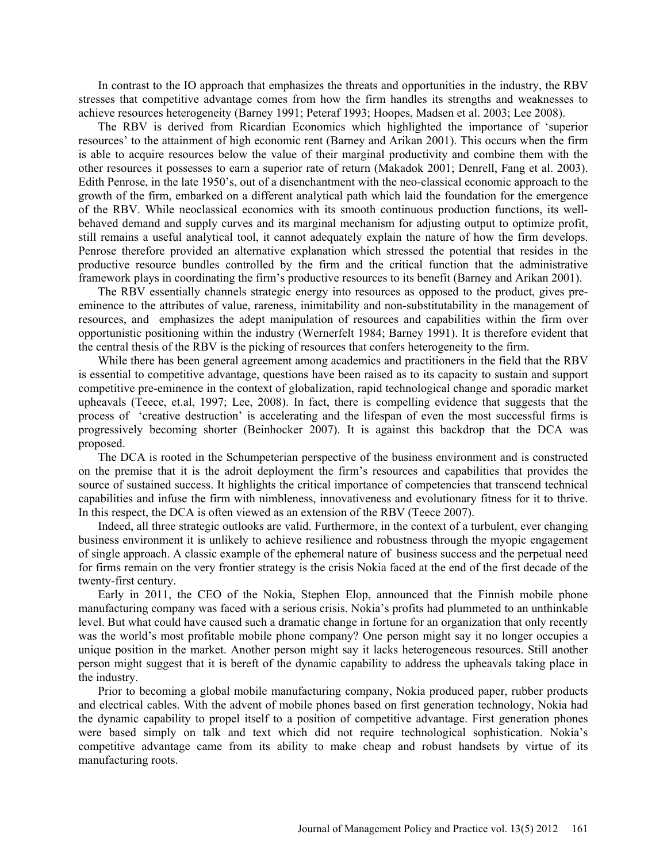In contrast to the IO approach that emphasizes the threats and opportunities in the industry, the RBV stresses that competitive advantage comes from how the firm handles its strengths and weaknesses to achieve resources heterogeneity (Barney 1991; Peteraf 1993; Hoopes, Madsen et al. 2003; Lee 2008).

The RBV is derived from Ricardian Economics which highlighted the importance of 'superior resources' to the attainment of high economic rent (Barney and Arikan 2001). This occurs when the firm is able to acquire resources below the value of their marginal productivity and combine them with the other resources it possesses to earn a superior rate of return (Makadok 2001; Denrell, Fang et al. 2003). Edith Penrose, in the late 1950's, out of a disenchantment with the neo-classical economic approach to the growth of the firm, embarked on a different analytical path which laid the foundation for the emergence of the RBV. While neoclassical economics with its smooth continuous production functions, its wellbehaved demand and supply curves and its marginal mechanism for adjusting output to optimize profit, still remains a useful analytical tool, it cannot adequately explain the nature of how the firm develops. Penrose therefore provided an alternative explanation which stressed the potential that resides in the productive resource bundles controlled by the firm and the critical function that the administrative framework plays in coordinating the firm's productive resources to its benefit (Barney and Arikan 2001).

The RBV essentially channels strategic energy into resources as opposed to the product, gives preeminence to the attributes of value, rareness, inimitability and non-substitutability in the management of resources, and emphasizes the adept manipulation of resources and capabilities within the firm over opportunistic positioning within the industry (Wernerfelt 1984; Barney 1991). It is therefore evident that the central thesis of the RBV is the picking of resources that confers heterogeneity to the firm.

While there has been general agreement among academics and practitioners in the field that the RBV is essential to competitive advantage, questions have been raised as to its capacity to sustain and support competitive pre-eminence in the context of globalization, rapid technological change and sporadic market upheavals (Teece, et.al, 1997; Lee, 2008). In fact, there is compelling evidence that suggests that the process of 'creative destruction' is accelerating and the lifespan of even the most successful firms is progressively becoming shorter (Beinhocker 2007). It is against this backdrop that the DCA was proposed.

The DCA is rooted in the Schumpeterian perspective of the business environment and is constructed on the premise that it is the adroit deployment the firm's resources and capabilities that provides the source of sustained success. It highlights the critical importance of competencies that transcend technical capabilities and infuse the firm with nimbleness, innovativeness and evolutionary fitness for it to thrive. In this respect, the DCA is often viewed as an extension of the RBV (Teece 2007).

Indeed, all three strategic outlooks are valid. Furthermore, in the context of a turbulent, ever changing business environment it is unlikely to achieve resilience and robustness through the myopic engagement of single approach. A classic example of the ephemeral nature of business success and the perpetual need for firms remain on the very frontier strategy is the crisis Nokia faced at the end of the first decade of the twenty-first century.

Early in 2011, the CEO of the Nokia, Stephen Elop, announced that the Finnish mobile phone manufacturing company was faced with a serious crisis. Nokia's profits had plummeted to an unthinkable level. But what could have caused such a dramatic change in fortune for an organization that only recently was the world's most profitable mobile phone company? One person might say it no longer occupies a unique position in the market. Another person might say it lacks heterogeneous resources. Still another person might suggest that it is bereft of the dynamic capability to address the upheavals taking place in the industry.

Prior to becoming a global mobile manufacturing company, Nokia produced paper, rubber products and electrical cables. With the advent of mobile phones based on first generation technology, Nokia had the dynamic capability to propel itself to a position of competitive advantage. First generation phones were based simply on talk and text which did not require technological sophistication. Nokia's competitive advantage came from its ability to make cheap and robust handsets by virtue of its manufacturing roots.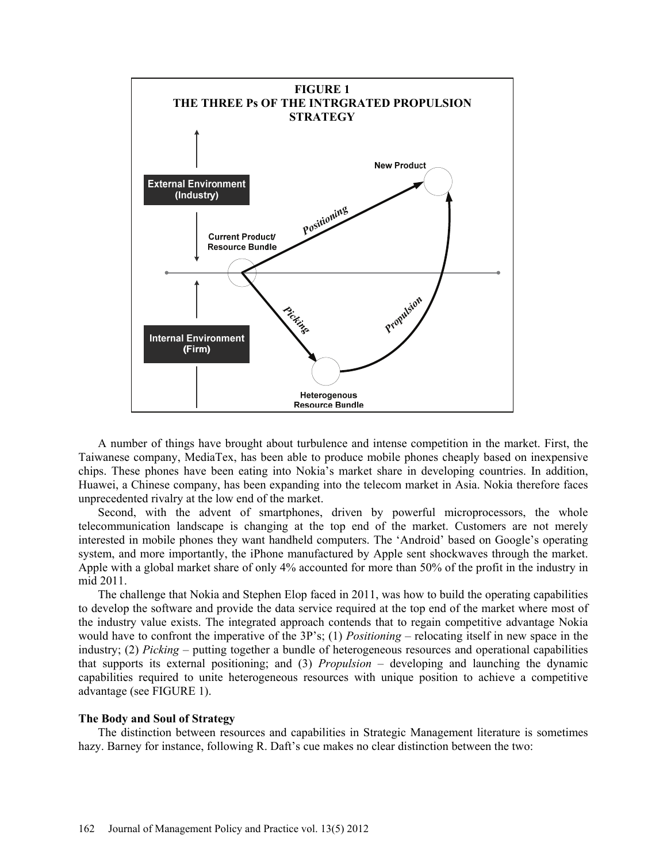

A number of things have brought about turbulence and intense competition in the market. First, the Taiwanese company, MediaTex, has been able to produce mobile phones cheaply based on inexpensive chips. These phones have been eating into Nokia's market share in developing countries. In addition, Huawei, a Chinese company, has been expanding into the telecom market in Asia. Nokia therefore faces unprecedented rivalry at the low end of the market.

Second, with the advent of smartphones, driven by powerful microprocessors, the whole telecommunication landscape is changing at the top end of the market. Customers are not merely interested in mobile phones they want handheld computers. The 'Android' based on Google's operating system, and more importantly, the iPhone manufactured by Apple sent shockwaves through the market. Apple with a global market share of only 4% accounted for more than 50% of the profit in the industry in mid 2011.

The challenge that Nokia and Stephen Elop faced in 2011, was how to build the operating capabilities to develop the software and provide the data service required at the top end of the market where most of the industry value exists. The integrated approach contends that to regain competitive advantage Nokia would have to confront the imperative of the 3P's; (1) *Positioning* – relocating itself in new space in the industry; (2) *Picking* – putting together a bundle of heterogeneous resources and operational capabilities that supports its external positioning; and (3) *Propulsion* – developing and launching the dynamic capabilities required to unite heterogeneous resources with unique position to achieve a competitive advantage (see FIGURE 1).

## **The Body and Soul of Strategy**

The distinction between resources and capabilities in Strategic Management literature is sometimes hazy. Barney for instance, following R. Daft's cue makes no clear distinction between the two: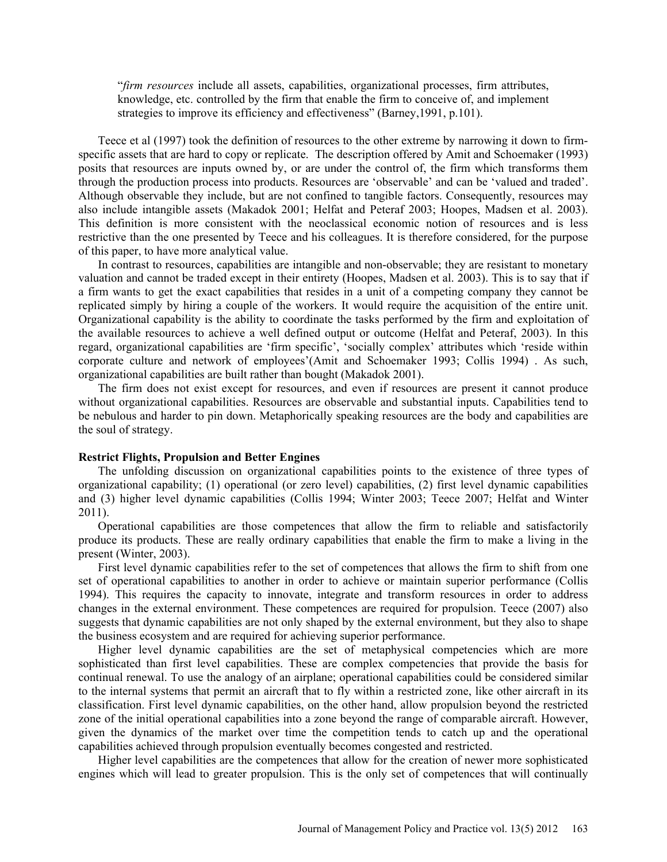"*firm resources* include all assets, capabilities, organizational processes, firm attributes, knowledge, etc. controlled by the firm that enable the firm to conceive of, and implement strategies to improve its efficiency and effectiveness" (Barney,1991, p.101).

Teece et al (1997) took the definition of resources to the other extreme by narrowing it down to firmspecific assets that are hard to copy or replicate. The description offered by Amit and Schoemaker (1993) posits that resources are inputs owned by, or are under the control of, the firm which transforms them through the production process into products. Resources are 'observable' and can be 'valued and traded'. Although observable they include, but are not confined to tangible factors. Consequently, resources may also include intangible assets (Makadok 2001; Helfat and Peteraf 2003; Hoopes, Madsen et al. 2003). This definition is more consistent with the neoclassical economic notion of resources and is less restrictive than the one presented by Teece and his colleagues. It is therefore considered, for the purpose of this paper, to have more analytical value.

In contrast to resources, capabilities are intangible and non-observable; they are resistant to monetary valuation and cannot be traded except in their entirety (Hoopes, Madsen et al. 2003). This is to say that if a firm wants to get the exact capabilities that resides in a unit of a competing company they cannot be replicated simply by hiring a couple of the workers. It would require the acquisition of the entire unit. Organizational capability is the ability to coordinate the tasks performed by the firm and exploitation of the available resources to achieve a well defined output or outcome (Helfat and Peteraf, 2003). In this regard, organizational capabilities are 'firm specific', 'socially complex' attributes which 'reside within corporate culture and network of employees'(Amit and Schoemaker 1993; Collis 1994) . As such, organizational capabilities are built rather than bought (Makadok 2001).

The firm does not exist except for resources, and even if resources are present it cannot produce without organizational capabilities. Resources are observable and substantial inputs. Capabilities tend to be nebulous and harder to pin down. Metaphorically speaking resources are the body and capabilities are the soul of strategy.

### **Restrict Flights, Propulsion and Better Engines**

The unfolding discussion on organizational capabilities points to the existence of three types of organizational capability; (1) operational (or zero level) capabilities, (2) first level dynamic capabilities and (3) higher level dynamic capabilities (Collis 1994; Winter 2003; Teece 2007; Helfat and Winter 2011).

Operational capabilities are those competences that allow the firm to reliable and satisfactorily produce its products. These are really ordinary capabilities that enable the firm to make a living in the present (Winter, 2003).

First level dynamic capabilities refer to the set of competences that allows the firm to shift from one set of operational capabilities to another in order to achieve or maintain superior performance (Collis 1994). This requires the capacity to innovate, integrate and transform resources in order to address changes in the external environment. These competences are required for propulsion. Teece (2007) also suggests that dynamic capabilities are not only shaped by the external environment, but they also to shape the business ecosystem and are required for achieving superior performance.

Higher level dynamic capabilities are the set of metaphysical competencies which are more sophisticated than first level capabilities. These are complex competencies that provide the basis for continual renewal. To use the analogy of an airplane; operational capabilities could be considered similar to the internal systems that permit an aircraft that to fly within a restricted zone, like other aircraft in its classification. First level dynamic capabilities, on the other hand, allow propulsion beyond the restricted zone of the initial operational capabilities into a zone beyond the range of comparable aircraft. However, given the dynamics of the market over time the competition tends to catch up and the operational capabilities achieved through propulsion eventually becomes congested and restricted.

Higher level capabilities are the competences that allow for the creation of newer more sophisticated engines which will lead to greater propulsion. This is the only set of competences that will continually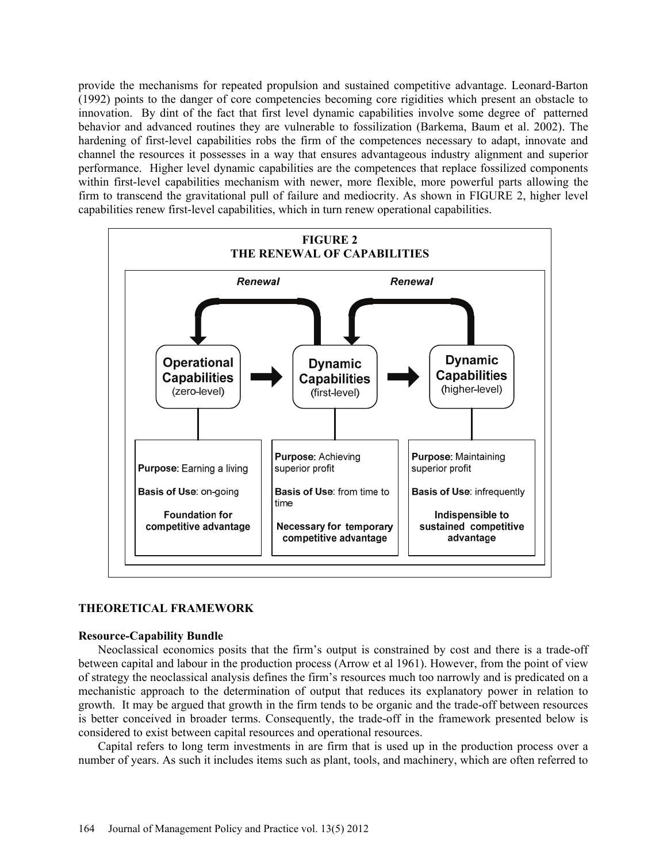provide the mechanisms for repeated propulsion and sustained competitive advantage. Leonard-Barton (1992) points to the danger of core competencies becoming core rigidities which present an obstacle to innovation. By dint of the fact that first level dynamic capabilities involve some degree of patterned behavior and advanced routines they are vulnerable to fossilization (Barkema, Baum et al. 2002). The hardening of first-level capabilities robs the firm of the competences necessary to adapt, innovate and channel the resources it possesses in a way that ensures advantageous industry alignment and superior performance. Higher level dynamic capabilities are the competences that replace fossilized components within first-level capabilities mechanism with newer, more flexible, more powerful parts allowing the firm to transcend the gravitational pull of failure and mediocrity. As shown in FIGURE 2, higher level capabilities renew first-level capabilities, which in turn renew operational capabilities.



# **THEORETICAL FRAMEWORK**

## **Resource-Capability Bundle**

Neoclassical economics posits that the firm's output is constrained by cost and there is a trade-off between capital and labour in the production process (Arrow et al 1961). However, from the point of view of strategy the neoclassical analysis defines the firm's resources much too narrowly and is predicated on a mechanistic approach to the determination of output that reduces its explanatory power in relation to growth. It may be argued that growth in the firm tends to be organic and the trade-off between resources is better conceived in broader terms. Consequently, the trade-off in the framework presented below is considered to exist between capital resources and operational resources.

Capital refers to long term investments in are firm that is used up in the production process over a number of years. As such it includes items such as plant, tools, and machinery, which are often referred to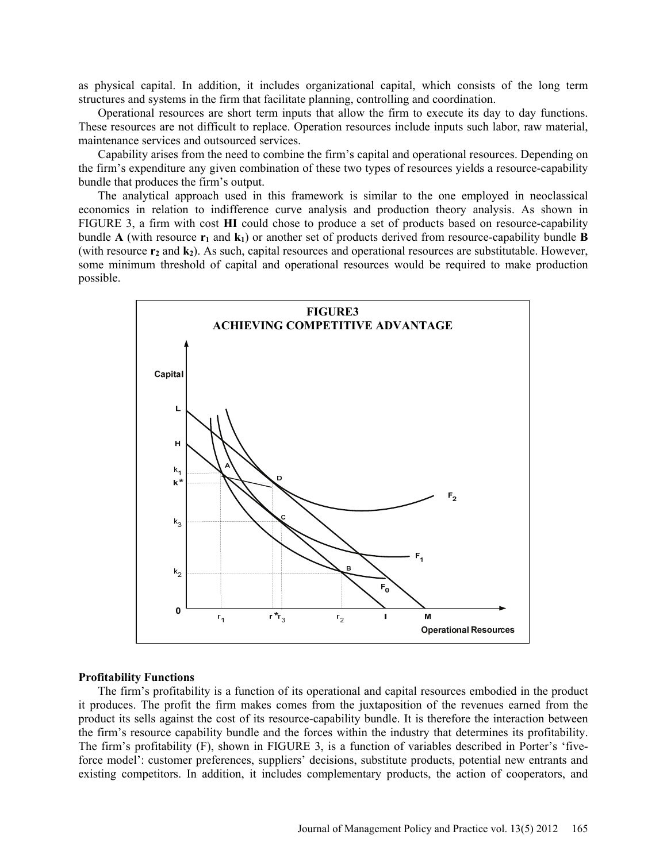as physical capital. In addition, it includes organizational capital, which consists of the long term structures and systems in the firm that facilitate planning, controlling and coordination.

Operational resources are short term inputs that allow the firm to execute its day to day functions. These resources are not difficult to replace. Operation resources include inputs such labor, raw material, maintenance services and outsourced services.

Capability arises from the need to combine the firm's capital and operational resources. Depending on the firm's expenditure any given combination of these two types of resources yields a resource-capability bundle that produces the firm's output.

The analytical approach used in this framework is similar to the one employed in neoclassical economics in relation to indifference curve analysis and production theory analysis. As shown in FIGURE 3, a firm with cost **HI** could chose to produce a set of products based on resource-capability bundle **A** (with resource  $\mathbf{r}_1$  and  $\mathbf{k}_1$ ) or another set of products derived from resource-capability bundle **B** (with resource  $r_2$  and  $k_2$ ). As such, capital resources and operational resources are substitutable. However, some minimum threshold of capital and operational resources would be required to make production possible.



#### **Profitability Functions**

The firm's profitability is a function of its operational and capital resources embodied in the product it produces. The profit the firm makes comes from the juxtaposition of the revenues earned from the product its sells against the cost of its resource-capability bundle. It is therefore the interaction between the firm's resource capability bundle and the forces within the industry that determines its profitability. The firm's profitability (F), shown in FIGURE 3, is a function of variables described in Porter's 'fiveforce model': customer preferences, suppliers' decisions, substitute products, potential new entrants and existing competitors. In addition, it includes complementary products, the action of cooperators, and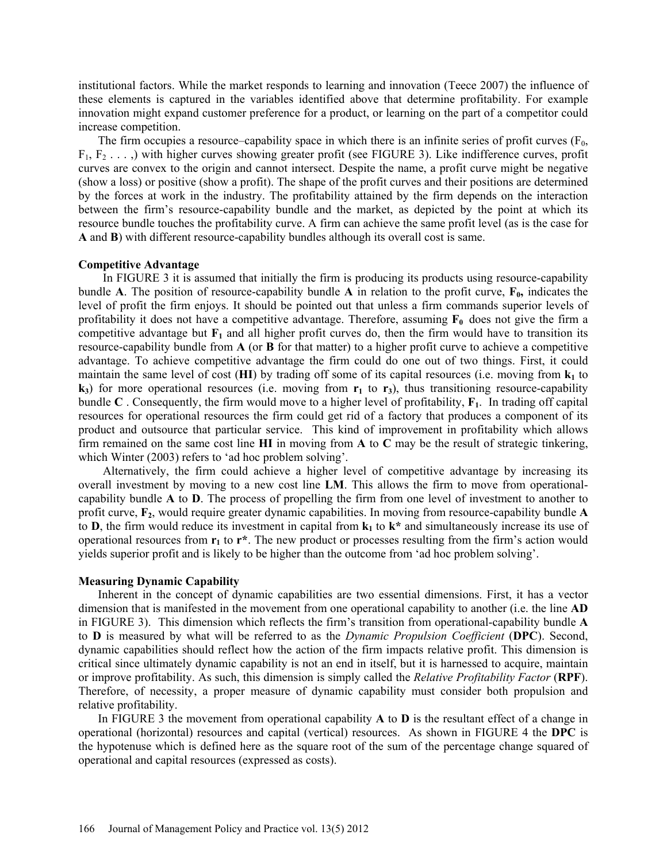institutional factors. While the market responds to learning and innovation (Teece 2007) the influence of these elements is captured in the variables identified above that determine profitability. For example innovation might expand customer preference for a product, or learning on the part of a competitor could increase competition.

The firm occupies a resource–capability space in which there is an infinite series of profit curves  $(F_0,$  $F_1, F_2, \ldots$ ) with higher curves showing greater profit (see FIGURE 3). Like indifference curves, profit curves are convex to the origin and cannot intersect. Despite the name, a profit curve might be negative (show a loss) or positive (show a profit). The shape of the profit curves and their positions are determined by the forces at work in the industry. The profitability attained by the firm depends on the interaction between the firm's resource-capability bundle and the market, as depicted by the point at which its resource bundle touches the profitability curve. A firm can achieve the same profit level (as is the case for **A** and **B**) with different resource-capability bundles although its overall cost is same.

## **Competitive Advantage**

In FIGURE 3 it is assumed that initially the firm is producing its products using resource-capability bundle **A**. The position of resource-capability bundle **A** in relation to the profit curve,  $\mathbf{F}_0$ , indicates the level of profit the firm enjoys. It should be pointed out that unless a firm commands superior levels of profitability it does not have a competitive advantage. Therefore, assuming  $\mathbf{F}_0$  does not give the firm a competitive advantage but  $\mathbf{F}_1$  and all higher profit curves do, then the firm would have to transition its resource-capability bundle from **A** (or **B** for that matter) to a higher profit curve to achieve a competitive advantage. To achieve competitive advantage the firm could do one out of two things. First, it could maintain the same level of cost  $(HI)$  by trading off some of its capital resources (i.e. moving from  $k_1$  to  $k_3$ ) for more operational resources (i.e. moving from  $r_1$  to  $r_3$ ), thus transitioning resource-capability bundle  $C$ . Consequently, the firm would move to a higher level of profitability,  $F_1$ . In trading off capital resources for operational resources the firm could get rid of a factory that produces a component of its product and outsource that particular service. This kind of improvement in profitability which allows firm remained on the same cost line **HI** in moving from **A** to **C** may be the result of strategic tinkering, which Winter (2003) refers to 'ad hoc problem solving'.

Alternatively, the firm could achieve a higher level of competitive advantage by increasing its overall investment by moving to a new cost line **LM**. This allows the firm to move from operationalcapability bundle **A** to **D**. The process of propelling the firm from one level of investment to another to profit curve, **F2**, would require greater dynamic capabilities. In moving from resource-capability bundle **A** to **D**, the firm would reduce its investment in capital from  $k_1$  to  $k^*$  and simultaneously increase its use of operational resources from  $\mathbf{r}_1$  to  $\mathbf{r}^*$ . The new product or processes resulting from the firm's action would yields superior profit and is likely to be higher than the outcome from 'ad hoc problem solving'.

## **Measuring Dynamic Capability**

Inherent in the concept of dynamic capabilities are two essential dimensions. First, it has a vector dimension that is manifested in the movement from one operational capability to another (i.e. the line **AD** in FIGURE 3). This dimension which reflects the firm's transition from operational-capability bundle **A** to **D** is measured by what will be referred to as the *Dynamic Propulsion Coefficient* (**DPC**). Second, dynamic capabilities should reflect how the action of the firm impacts relative profit. This dimension is critical since ultimately dynamic capability is not an end in itself, but it is harnessed to acquire, maintain or improve profitability. As such, this dimension is simply called the *Relative Profitability Factor* (**RPF**). Therefore, of necessity, a proper measure of dynamic capability must consider both propulsion and relative profitability.

In FIGURE 3 the movement from operational capability **A** to **D** is the resultant effect of a change in operational (horizontal) resources and capital (vertical) resources. As shown in FIGURE 4 the **DPC** is the hypotenuse which is defined here as the square root of the sum of the percentage change squared of operational and capital resources (expressed as costs).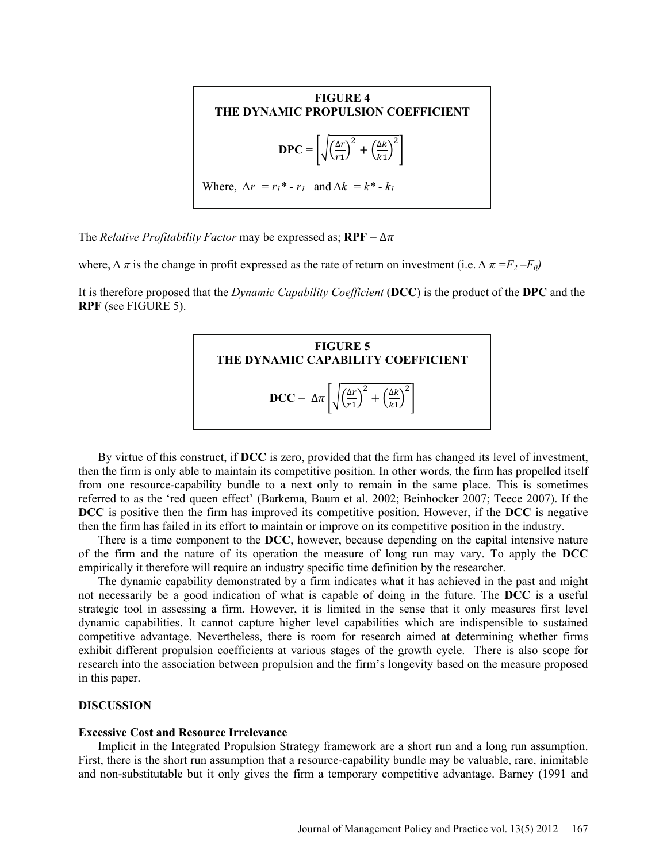

The *Relative Profitability Factor* may be expressed as;  $RPF = \Delta \pi$ 

where,  $\Delta \pi$  is the change in profit expressed as the rate of return on investment (i.e.  $\Delta \pi = F_2 - F_0$ )

It is therefore proposed that the *Dynamic Capability Coefficient* (**DCC**) is the product of the **DPC** and the **RPF** (see FIGURE 5).



By virtue of this construct, if **DCC** is zero, provided that the firm has changed its level of investment, then the firm is only able to maintain its competitive position. In other words, the firm has propelled itself from one resource-capability bundle to a next only to remain in the same place. This is sometimes referred to as the 'red queen effect' (Barkema, Baum et al. 2002; Beinhocker 2007; Teece 2007). If the **DCC** is positive then the firm has improved its competitive position. However, if the **DCC** is negative then the firm has failed in its effort to maintain or improve on its competitive position in the industry.

There is a time component to the **DCC**, however, because depending on the capital intensive nature of the firm and the nature of its operation the measure of long run may vary. To apply the **DCC**  empirically it therefore will require an industry specific time definition by the researcher.

The dynamic capability demonstrated by a firm indicates what it has achieved in the past and might not necessarily be a good indication of what is capable of doing in the future. The **DCC** is a useful strategic tool in assessing a firm. However, it is limited in the sense that it only measures first level dynamic capabilities. It cannot capture higher level capabilities which are indispensible to sustained competitive advantage. Nevertheless, there is room for research aimed at determining whether firms exhibit different propulsion coefficients at various stages of the growth cycle. There is also scope for research into the association between propulsion and the firm's longevity based on the measure proposed in this paper.

## **DISCUSSION**

#### **Excessive Cost and Resource Irrelevance**

Implicit in the Integrated Propulsion Strategy framework are a short run and a long run assumption. First, there is the short run assumption that a resource-capability bundle may be valuable, rare, inimitable and non-substitutable but it only gives the firm a temporary competitive advantage. Barney (1991 and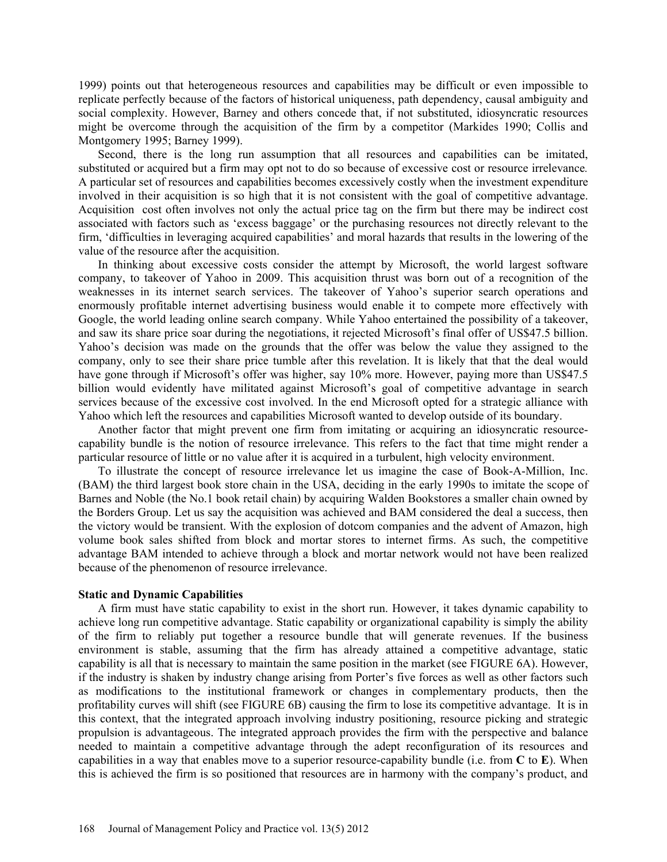1999) points out that heterogeneous resources and capabilities may be difficult or even impossible to replicate perfectly because of the factors of historical uniqueness, path dependency, causal ambiguity and social complexity. However, Barney and others concede that, if not substituted, idiosyncratic resources might be overcome through the acquisition of the firm by a competitor (Markides 1990; Collis and Montgomery 1995; Barney 1999).

Second, there is the long run assumption that all resources and capabilities can be imitated, substituted or acquired but a firm may opt not to do so because of excessive cost or resource irrelevance*.* A particular set of resources and capabilities becomes excessively costly when the investment expenditure involved in their acquisition is so high that it is not consistent with the goal of competitive advantage. Acquisition cost often involves not only the actual price tag on the firm but there may be indirect cost associated with factors such as 'excess baggage' or the purchasing resources not directly relevant to the firm, 'difficulties in leveraging acquired capabilities' and moral hazards that results in the lowering of the value of the resource after the acquisition.

In thinking about excessive costs consider the attempt by Microsoft, the world largest software company, to takeover of Yahoo in 2009. This acquisition thrust was born out of a recognition of the weaknesses in its internet search services. The takeover of Yahoo's superior search operations and enormously profitable internet advertising business would enable it to compete more effectively with Google, the world leading online search company. While Yahoo entertained the possibility of a takeover, and saw its share price soar during the negotiations, it rejected Microsoft's final offer of US\$47.5 billion. Yahoo's decision was made on the grounds that the offer was below the value they assigned to the company, only to see their share price tumble after this revelation. It is likely that that the deal would have gone through if Microsoft's offer was higher, say 10% more. However, paying more than US\$47.5 billion would evidently have militated against Microsoft's goal of competitive advantage in search services because of the excessive cost involved. In the end Microsoft opted for a strategic alliance with Yahoo which left the resources and capabilities Microsoft wanted to develop outside of its boundary.

Another factor that might prevent one firm from imitating or acquiring an idiosyncratic resourcecapability bundle is the notion of resource irrelevance. This refers to the fact that time might render a particular resource of little or no value after it is acquired in a turbulent, high velocity environment.

To illustrate the concept of resource irrelevance let us imagine the case of Book-A-Million, Inc. (BAM) the third largest book store chain in the USA, deciding in the early 1990s to imitate the scope of Barnes and Noble (the No.1 book retail chain) by acquiring Walden Bookstores a smaller chain owned by the Borders Group. Let us say the acquisition was achieved and BAM considered the deal a success, then the victory would be transient. With the explosion of dotcom companies and the advent of Amazon, high volume book sales shifted from block and mortar stores to internet firms. As such, the competitive advantage BAM intended to achieve through a block and mortar network would not have been realized because of the phenomenon of resource irrelevance.

#### **Static and Dynamic Capabilities**

A firm must have static capability to exist in the short run. However, it takes dynamic capability to achieve long run competitive advantage. Static capability or organizational capability is simply the ability of the firm to reliably put together a resource bundle that will generate revenues. If the business environment is stable, assuming that the firm has already attained a competitive advantage, static capability is all that is necessary to maintain the same position in the market (see FIGURE 6A). However, if the industry is shaken by industry change arising from Porter's five forces as well as other factors such as modifications to the institutional framework or changes in complementary products, then the profitability curves will shift (see FIGURE 6B) causing the firm to lose its competitive advantage. It is in this context, that the integrated approach involving industry positioning, resource picking and strategic propulsion is advantageous. The integrated approach provides the firm with the perspective and balance needed to maintain a competitive advantage through the adept reconfiguration of its resources and capabilities in a way that enables move to a superior resource-capability bundle (i.e. from **C** to **E**). When this is achieved the firm is so positioned that resources are in harmony with the company's product, and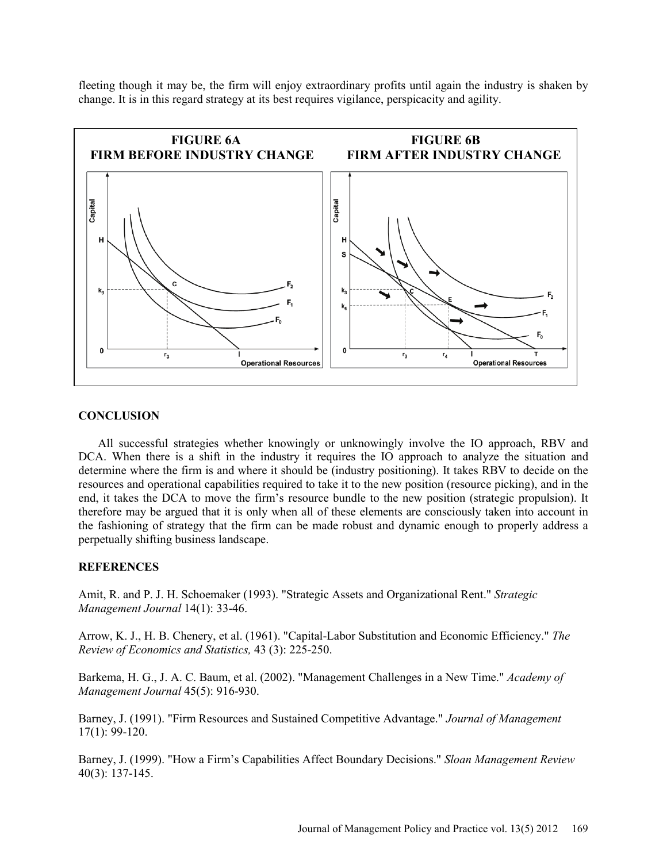fleeting though it may be, the firm will enjoy extraordinary profits until again the industry is shaken by change. It is in this regard strategy at its best requires vigilance, perspicacity and agility.



# **CONCLUSION**

All successful strategies whether knowingly or unknowingly involve the IO approach, RBV and DCA. When there is a shift in the industry it requires the IO approach to analyze the situation and determine where the firm is and where it should be (industry positioning). It takes RBV to decide on the resources and operational capabilities required to take it to the new position (resource picking), and in the end, it takes the DCA to move the firm's resource bundle to the new position (strategic propulsion). It therefore may be argued that it is only when all of these elements are consciously taken into account in the fashioning of strategy that the firm can be made robust and dynamic enough to properly address a perpetually shifting business landscape.

#### **REFERENCES**

Amit, R. and P. J. H. Schoemaker (1993). "Strategic Assets and Organizational Rent." *Strategic Management Journal* 14(1): 33-46.

Arrow, K. J., H. B. Chenery, et al. (1961). "Capital-Labor Substitution and Economic Efficiency." *The Review of Economics and Statistics,* 43 (3): 225-250.

Barkema, H. G., J. A. C. Baum, et al. (2002). "Management Challenges in a New Time." *Academy of Management Journal* 45(5): 916-930.

Barney, J. (1991). "Firm Resources and Sustained Competitive Advantage." *Journal of Management*  17(1): 99-120.

Barney, J. (1999). "How a Firm's Capabilities Affect Boundary Decisions." *Sloan Management Review*  40(3): 137-145.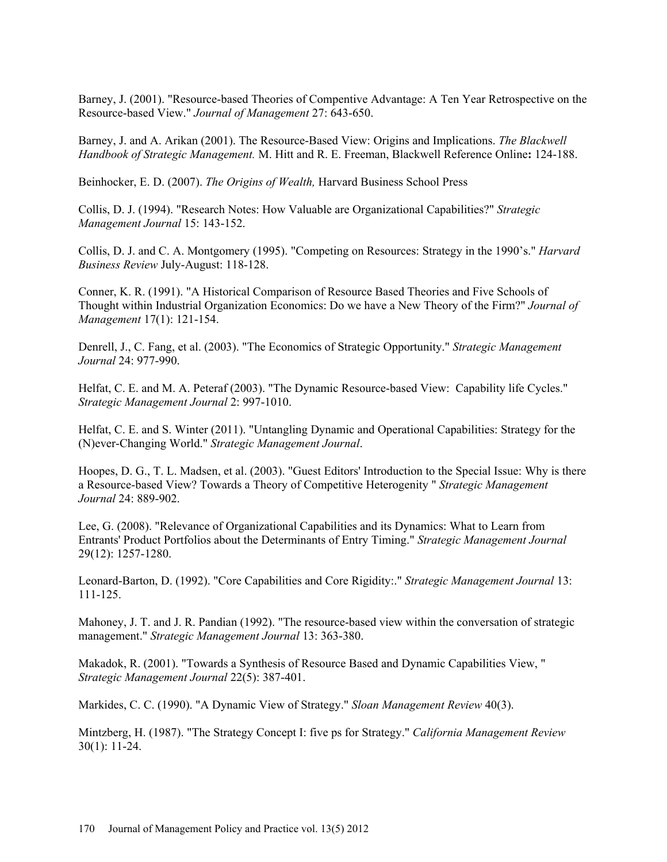Barney, J. (2001). "Resource-based Theories of Compentive Advantage: A Ten Year Retrospective on the Resource-based View." *Journal of Management* 27: 643-650.

Barney, J. and A. Arikan (2001). The Resource-Based View: Origins and Implications. *The Blackwell Handbook of Strategic Management.* M. Hitt and R. E. Freeman, Blackwell Reference Online**:** 124-188.

Beinhocker, E. D. (2007). *The Origins of Wealth,* Harvard Business School Press

Collis, D. J. (1994). "Research Notes: How Valuable are Organizational Capabilities?" *Strategic Management Journal* 15: 143-152.

Collis, D. J. and C. A. Montgomery (1995). "Competing on Resources: Strategy in the 1990's." *Harvard Business Review* July-August: 118-128.

Conner, K. R. (1991). "A Historical Comparison of Resource Based Theories and Five Schools of Thought within Industrial Organization Economics: Do we have a New Theory of the Firm?" *Journal of Management* 17(1): 121-154.

Denrell, J., C. Fang, et al. (2003). "The Economics of Strategic Opportunity." *Strategic Management Journal* 24: 977-990.

Helfat, C. E. and M. A. Peteraf (2003). "The Dynamic Resource-based View: Capability life Cycles." *Strategic Management Journal* 2: 997-1010.

Helfat, C. E. and S. Winter (2011). "Untangling Dynamic and Operational Capabilities: Strategy for the (N)ever-Changing World." *Strategic Management Journal*.

Hoopes, D. G., T. L. Madsen, et al. (2003). "Guest Editors' Introduction to the Special Issue: Why is there a Resource-based View? Towards a Theory of Competitive Heterogenity " *Strategic Management Journal* 24: 889-902.

Lee, G. (2008). "Relevance of Organizational Capabilities and its Dynamics: What to Learn from Entrants' Product Portfolios about the Determinants of Entry Timing." *Strategic Management Journal*  29(12): 1257-1280.

Leonard-Barton, D. (1992). "Core Capabilities and Core Rigidity:." *Strategic Management Journal* 13: 111-125.

Mahoney, J. T. and J. R. Pandian (1992). "The resource-based view within the conversation of strategic management." *Strategic Management Journal* 13: 363-380.

Makadok, R. (2001). "Towards a Synthesis of Resource Based and Dynamic Capabilities View, " *Strategic Management Journal* 22(5): 387-401.

Markides, C. C. (1990). "A Dynamic View of Strategy." *Sloan Management Review* 40(3).

Mintzberg, H. (1987). "The Strategy Concept I: five ps for Strategy." *California Management Review*  30(1): 11-24.